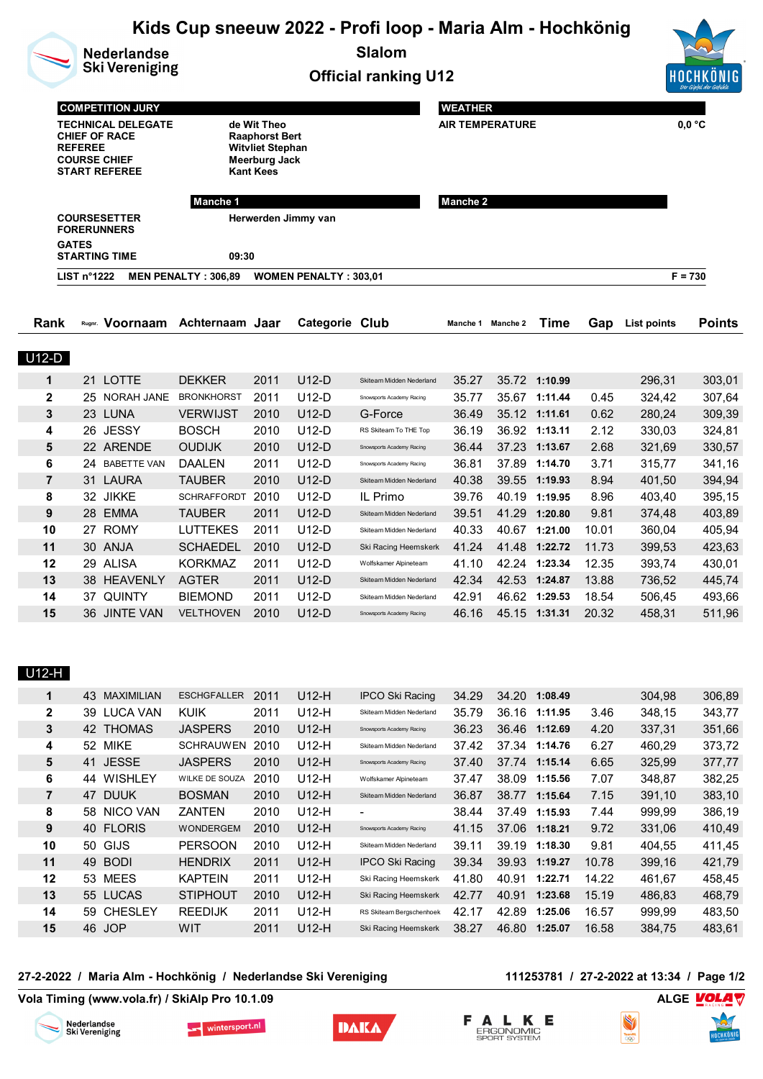|                |                                                           | <b>Nederlandse</b><br><b>Ski Vereniging</b>                                                      |                                                                                                                  |              |                              | Kids Cup sneeuw 2022 - Profi loop - Maria Alm - Hochkönig<br><b>Slalom</b> |                        |                   |                                |                |                  |                  |  |
|----------------|-----------------------------------------------------------|--------------------------------------------------------------------------------------------------|------------------------------------------------------------------------------------------------------------------|--------------|------------------------------|----------------------------------------------------------------------------|------------------------|-------------------|--------------------------------|----------------|------------------|------------------|--|
|                |                                                           |                                                                                                  |                                                                                                                  |              |                              | <b>Official ranking U12</b>                                                |                        |                   |                                |                |                  |                  |  |
|                |                                                           | <b>COMPETITION JURY</b>                                                                          |                                                                                                                  |              |                              |                                                                            | <b>WEATHER</b>         |                   |                                |                |                  |                  |  |
|                | <b>REFEREE</b>                                            | <b>TECHNICAL DELEGATE</b><br><b>CHIEF OF RACE</b><br><b>COURSE CHIEF</b><br><b>START REFEREE</b> | de Wit Theo<br>Raaphorst Bert<br><b>Witvliet Stephan</b><br><b>Meerburg Jack</b><br><b>Kant Kees</b><br>Manche 1 |              |                              |                                                                            | <b>AIR TEMPERATURE</b> |                   | $0,0$ °C                       |                |                  |                  |  |
|                |                                                           |                                                                                                  |                                                                                                                  |              |                              |                                                                            | Manche 2               |                   |                                |                |                  |                  |  |
|                | <b>COURSESETTER</b><br><b>FORERUNNERS</b><br><b>GATES</b> |                                                                                                  | Herwerden Jimmy van                                                                                              |              |                              |                                                                            |                        |                   |                                |                |                  |                  |  |
|                |                                                           | <b>STARTING TIME</b>                                                                             | 09:30                                                                                                            |              |                              |                                                                            |                        |                   |                                |                |                  |                  |  |
|                | <b>LIST n°1222</b>                                        |                                                                                                  | <b>MEN PENALTY: 306,89</b>                                                                                       |              | <b>WOMEN PENALTY: 303,01</b> |                                                                            |                        |                   |                                |                |                  | $F = 730$        |  |
| Rank           |                                                           |                                                                                                  | Rugnr. Voornaam Achternaam Jaar                                                                                  |              | Categorie Club               |                                                                            |                        | Manche 1 Manche 2 | <b>Time</b>                    | Gap            | List points      | <b>Points</b>    |  |
| $U12-D$        |                                                           |                                                                                                  |                                                                                                                  |              |                              |                                                                            |                        |                   |                                |                |                  |                  |  |
| 1              |                                                           | 21 LOTTE                                                                                         | <b>DEKKER</b>                                                                                                    | 2011         | $U12-D$                      | Skiteam Midden Nederland                                                   | 35.27                  |                   | 35.72 1:10.99                  |                | 296,31           | 303,01           |  |
| $\mathbf 2$    |                                                           | 25 NORAH JANE BRONKHORST                                                                         |                                                                                                                  | 2011         | $U12-D$                      | Snowsports Academy Racing                                                  | 35.77                  |                   | 35.67 1:11.44                  | 0.45           | 324,42           | 307,64           |  |
| 3              |                                                           | 23 LUNA                                                                                          | <b>VERWIJST</b>                                                                                                  | 2010         | $U12-D$                      | G-Force                                                                    | 36.49                  |                   | 35.12 1:11.61                  | 0.62           | 280,24           | 309,39           |  |
| 4              |                                                           | 26 JESSY                                                                                         | <b>BOSCH</b>                                                                                                     | 2010         | $U12-D$                      | RS Skiteam To THE Top                                                      | 36.19                  |                   | 36.92 1:13.11                  | 2.12           | 330,03           | 324,81           |  |
| 5              |                                                           | 22 ARENDE                                                                                        | <b>OUDIJK</b>                                                                                                    | 2010         | $U12-D$                      | Snowsports Academy Racing                                                  | 36.44                  |                   | 37.23 1:13.67                  | 2.68           | 321,69           | 330,57           |  |
| 6              |                                                           | 24 BABETTE VAN                                                                                   | <b>DAALEN</b>                                                                                                    | 2011         | $U12-D$                      | Snowsports Academy Racing                                                  | 36.81                  |                   | 37.89 1:14.70                  | 3.71           | 315,77           | 341,16           |  |
| $\overline{7}$ |                                                           | 31 LAURA                                                                                         | <b>TAUBER</b>                                                                                                    | 2010         | $U12-D$                      | Skiteam Midden Nederland                                                   | 40.38                  |                   | 39.55 1:19.93                  | 8.94           | 401,50           | 394,94           |  |
| 8              |                                                           | 32 JIKKE                                                                                         | SCHRAFFORDT 2010                                                                                                 |              | $U12-D$                      | IL Primo                                                                   | 39.76                  |                   | 40.19 1:19.95                  | 8.96           | 403,40           | 395,15           |  |
| 9              |                                                           | 28 EMMA                                                                                          | <b>TAUBER</b>                                                                                                    | 2011         | $U12-D$                      | Skiteam Midden Nederland                                                   | 39.51                  |                   | 41.29 1:20.80                  | 9.81           | 374,48           | 403,89           |  |
| 10             |                                                           | 27 ROMY                                                                                          | <b>LUTTEKES</b>                                                                                                  | 2011         | $U12-D$                      | Skiteam Midden Nederland                                                   | 40.33                  |                   | 40.67 1:21.00                  | 10.01          | 360,04           | 405,94           |  |
| 11             |                                                           | 30 ANJA                                                                                          | <b>SCHAEDEL</b>                                                                                                  | 2010         | $U12-D$                      | Ski Racing Heemskerk                                                       | 41.24                  |                   | 41.48 1:22.72                  | 11.73          | 399,53           | 423,63           |  |
| 12             |                                                           | 29 ALISA                                                                                         | <b>KORKMAZ</b>                                                                                                   | 2011         | $U12-D$                      | Wolfskamer Alpineteam                                                      | 41.10                  |                   | 42.24 1:23.34                  | 12.35          | 393,74           | 430,01           |  |
| 13             |                                                           | 38 HEAVENLY                                                                                      | <b>AGTER</b>                                                                                                     | 2011         | $U12-D$                      | Skiteam Midden Nederland                                                   | 42.34                  |                   | 42.53 1:24.87                  | 13.88          | 736,52           | 445,74           |  |
| 14<br>15       |                                                           | 37 QUINTY<br>36 JINTE VAN                                                                        | <b>BIEMOND</b><br><b>VELTHOVEN</b>                                                                               | 2011<br>2010 | $U12-D$<br>$U12-D$           | Skiteam Midden Nederland<br>Snowsports Academy Racing                      | 42.91<br>46.16         |                   | 46.62 1:29.53<br>45.15 1:31.31 | 18.54<br>20.32 | 506,45<br>458,31 | 493,66<br>511,96 |  |
| U12-H<br>1     |                                                           | 43 MAXIMILIAN                                                                                    | ESCHGFALLER                                                                                                      | 2011         | U12-H                        | <b>IPCO Ski Racing</b>                                                     | 34.29                  |                   | 34.20 1:08.49                  |                | 304,98           | 306,89           |  |
| 2              |                                                           | 39 LUCA VAN                                                                                      | <b>KUIK</b>                                                                                                      | 2011         | U12-H                        | Skiteam Midden Nederland                                                   | 35.79                  |                   | 36.16 1:11.95                  | 3.46           | 348,15           | 343,77           |  |
| 3              |                                                           | 42 THOMAS                                                                                        | <b>JASPERS</b>                                                                                                   | 2010         | $U12-H$                      | Snowsports Academy Racing                                                  | 36.23                  |                   | 36.46 1:12.69                  | 4.20           | 337,31           | 351,66           |  |
| 4              |                                                           | 52 MIKE                                                                                          | SCHRAUWEN 2010                                                                                                   |              | U12-H                        | Skiteam Midden Nederland                                                   | 37.42                  |                   | 37.34 1:14.76                  | 6.27           | 460,29           | 373,72           |  |
| 5              |                                                           | 41 JESSE                                                                                         | <b>JASPERS</b>                                                                                                   | 2010         | $U12-H$                      | Snowsports Academy Racing                                                  | 37.40                  |                   | 37.74 1:15.14                  | 6.65           | 325,99           | 377,77           |  |
| 6              |                                                           | 44 WISHLEY                                                                                       | WILKE DE SOUZA                                                                                                   | 2010         | U12-H                        | Wolfskamer Alpineteam                                                      | 37.47                  |                   | 38.09 1:15.56                  | 7.07           | 348,87           | 382,25           |  |
| 7              |                                                           | 47 DUUK                                                                                          | <b>BOSMAN</b>                                                                                                    | 2010         | $U12-H$                      | Skiteam Midden Nederland                                                   | 36.87                  |                   | 38.77 1:15.64                  | 7.15           | 391,10           | 383,10           |  |
| 8              |                                                           | 58 NICO VAN                                                                                      | ZANTEN                                                                                                           | 2010         | U12-H                        |                                                                            | 38.44                  |                   | 37.49 1:15.93                  | 7.44           | 999,99           | 386,19           |  |
| 9              |                                                           | 40 FLORIS                                                                                        | <b>WONDERGEM</b>                                                                                                 | 2010         | $U12-H$                      | Snowsports Academy Racing                                                  | 41.15                  |                   | 37.06 1:18.21                  | 9.72           | 331,06           | 410,49           |  |
| 10             |                                                           | 50 GIJS                                                                                          | <b>PERSOON</b>                                                                                                   | 2010         | $U12-H$                      | Skiteam Midden Nederland                                                   | 39.11                  |                   | 39.19 1:18.30                  | 9.81           | 404,55           | 411,45           |  |
| 11             |                                                           | 49 BODI                                                                                          | <b>HENDRIX</b>                                                                                                   | 2011         | U12-H                        | <b>IPCO Ski Racing</b>                                                     | 39.34                  |                   | 39.93 1:19.27                  | 10.78          | 399,16           | 421,79           |  |
| 12             |                                                           | 53 MEES                                                                                          | <b>KAPTEIN</b>                                                                                                   | 2011         | U12-H                        | Ski Racing Heemskerk                                                       | 41.80                  |                   | 40.91 1:22.71                  | 14.22          | 461,67           | 458,45           |  |
| 13             |                                                           | 55 LUCAS                                                                                         | <b>STIPHOUT</b>                                                                                                  | 2010         | $U12-H$                      | Ski Racing Heemskerk                                                       | 42.77                  |                   | 40.91 1:23.68                  | 15.19          | 486,83           | 468,79           |  |
| 14             |                                                           | 59 CHESLEY                                                                                       | <b>REEDIJK</b>                                                                                                   | 2011         | U12-H                        | RS Skiteam Bergschenhoek                                                   | 42.17                  |                   | 42.89 1:25.06                  | 16.57          | 999,99           | 483,50           |  |
| 15             |                                                           | 46 JOP                                                                                           | WIT                                                                                                              | 2011         | $U12-H$                      | Ski Racing Heemskerk                                                       | 38.27                  |                   | 46.80 1:25.07                  | 16.58          | 384,75           | 483,61           |  |

## **27-2-2022 / Maria Alm - Hochkönig / Nederlandse Ski Vereniging 111253781 / 27-2-2022 at 13:34 / Page 1/2**

S

## **Vola Timing (www.vola.fr) / SkiAlp Pro 10.1.09 ALGE**